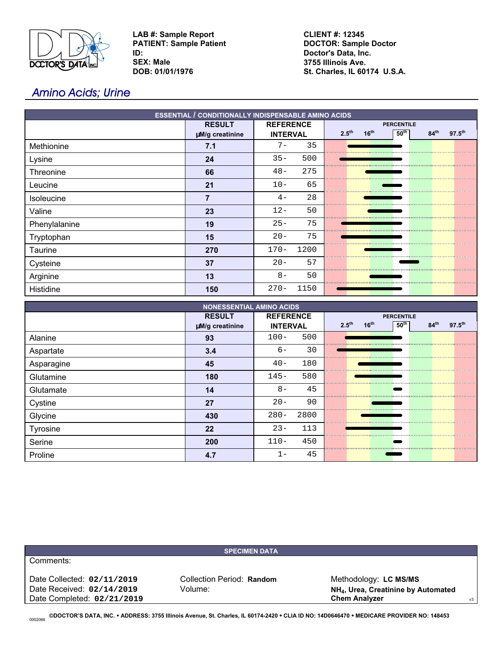

**LAB #: Sample Report PATIENT: Sample Patient ID: SEX: Male DOB: 01/01/1976**

**CLIENT #: 12345 DOCTOR: Sample Doctor Doctor's Data, Inc. 3755 Illinois Ave. St. Charles, IL 60174 U.S.A.**

# Amino Acids; Urine

| <b>ESSENTIAL / CONDITIONALLY INDISPENSABLE AMINO ACIDS</b> |                 |                  |                                                                                                     |  |  |  |  |
|------------------------------------------------------------|-----------------|------------------|-----------------------------------------------------------------------------------------------------|--|--|--|--|
|                                                            | <b>RESULT</b>   | <b>REFERENCE</b> | <b>PERCENTILE</b>                                                                                   |  |  |  |  |
|                                                            | µM/g creatinine | <b>INTERVAL</b>  | 2.5 <sup>th</sup><br>16 <sup>th</sup><br>50 <sup>th</sup><br>84 <sup>th</sup><br>$97.5^{\text{th}}$ |  |  |  |  |
| Methionine                                                 | 7.1             | 35<br>$7-$       | ,,,,,,,,,,,,,,,,,,,,,,,,,,,,,,                                                                      |  |  |  |  |
| Lysine                                                     | 24              | $35 -$<br>500    |                                                                                                     |  |  |  |  |
| Threonine                                                  | 66              | $48 -$<br>275    |                                                                                                     |  |  |  |  |
| Leucine                                                    | 21              | $10 -$<br>65     |                                                                                                     |  |  |  |  |
| Isoleucine                                                 | 7               | 28<br>$4-$       |                                                                                                     |  |  |  |  |
| Valine                                                     | 23              | $12 -$<br>50     |                                                                                                     |  |  |  |  |
| Phenylalanine                                              | 19              | 75<br>$25 -$     |                                                                                                     |  |  |  |  |
| Tryptophan                                                 | 15              | 75<br>$20 -$     |                                                                                                     |  |  |  |  |
| Taurine                                                    | 270             | 1200<br>$170-$   |                                                                                                     |  |  |  |  |
| Cysteine                                                   | 37              | $20 -$<br>57     |                                                                                                     |  |  |  |  |
| Arginine                                                   | 13              | $8-$<br>50       |                                                                                                     |  |  |  |  |
| Histidine                                                  | 150             | 1150<br>$270 -$  |                                                                                                     |  |  |  |  |

| <b>NONESSENTIAL AMINO ACIDS</b> |                 |                  |                                                                                                 |  |  |  |  |
|---------------------------------|-----------------|------------------|-------------------------------------------------------------------------------------------------|--|--|--|--|
|                                 | <b>RESULT</b>   | <b>REFERENCE</b> | <b>PERCENTILE</b>                                                                               |  |  |  |  |
|                                 | µM/g creatinine | <b>INTERVAL</b>  | 50 <sup>th</sup><br>16 <sup>th</sup><br>84 <sup>th</sup><br>2.5 <sup>th</sup><br>$97.5^{\rm m}$ |  |  |  |  |
| Alanine                         | 93              | 500<br>$100 -$   |                                                                                                 |  |  |  |  |
| Aspartate                       | 3.4             | 30<br>$6-$       |                                                                                                 |  |  |  |  |
| Asparagine                      | 45              | $40 -$<br>180    |                                                                                                 |  |  |  |  |
| Glutamine                       | 180             | $145 -$<br>580   |                                                                                                 |  |  |  |  |
| Glutamate                       | 14              | 45<br>$8-$       |                                                                                                 |  |  |  |  |
| Cystine                         | 27              | $20 -$<br>90     |                                                                                                 |  |  |  |  |
| Glycine                         | 430             | 2800<br>$280 -$  |                                                                                                 |  |  |  |  |
| Tyrosine                        | 22              | $23 -$<br>113    |                                                                                                 |  |  |  |  |
| Serine                          | 200             | $110 -$<br>450   |                                                                                                 |  |  |  |  |
| Proline                         | 4.7             | 45               |                                                                                                 |  |  |  |  |

|                            | <b>SPECIMEN DATA</b>      |                                                 |    |
|----------------------------|---------------------------|-------------------------------------------------|----|
| Comments:                  |                           |                                                 |    |
| Date Collected: 02/11/2019 | Collection Period: Random | Methodology: LC MS/MS                           |    |
| Date Received: 02/14/2019  | Volume:                   | NH <sub>4</sub> , Urea, Creatinine by Automated |    |
| Date Completed: 02/21/2019 |                           | <b>Chem Analyzer</b>                            | v3 |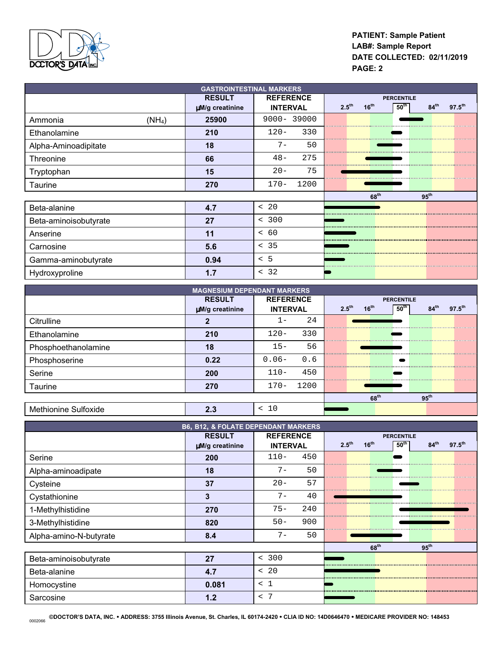

# **PATIENT: Sample Patient LAB#: Sample Report DATE COLLECTED: 02/11/2019 PAGE: 2**

| <b>GASTROINTESTINAL MARKERS</b> |                 |                   |                                |                                                     |  |  |  |  |
|---------------------------------|-----------------|-------------------|--------------------------------|-----------------------------------------------------|--|--|--|--|
|                                 | <b>RESULT</b>   | <b>PERCENTILE</b> |                                |                                                     |  |  |  |  |
|                                 | µM/g creatinine | <b>INTERVAL</b>   | $16^{th}$<br>2.5 <sup>th</sup> | 50 <sup>th</sup><br>84 <sup>th</sup><br>$97.5^{th}$ |  |  |  |  |
| (NH <sub>4</sub> )<br>Ammonia   | 25900           | $9000 - 39000$    |                                |                                                     |  |  |  |  |
| Ethanolamine                    | 210             | $120 -$<br>330    |                                |                                                     |  |  |  |  |
| Alpha-Aminoadipitate            | 18              | $7 -$<br>50       |                                |                                                     |  |  |  |  |
| Threonine                       | 66              | 275<br>$48 -$     |                                |                                                     |  |  |  |  |
| Tryptophan                      | 15              | $20 -$<br>75      |                                |                                                     |  |  |  |  |
| Taurine                         | 270             | $170 -$<br>1200   |                                |                                                     |  |  |  |  |
|                                 |                 |                   | 68 <sup>th</sup>               | $95^{\text{th}}$                                    |  |  |  |  |
| Beta-alanine                    | 4.7             | < 20              |                                |                                                     |  |  |  |  |
| Beta-aminoisobutyrate           | 27              | < 300             |                                |                                                     |  |  |  |  |
| Anserine                        | 11              | < 60              |                                |                                                     |  |  |  |  |
| Carnosine                       | 5.6             | < 35              |                                |                                                     |  |  |  |  |
| Gamma-aminobutyrate             | 0.94            | < 5               |                                |                                                     |  |  |  |  |
| Hydroxyproline                  | 1.7             | < 32              |                                |                                                     |  |  |  |  |

| <b>MAGNESIUM DEPENDANT MARKERS</b> |                 |                                |      |                   |                  |                   |                  |                    |  |
|------------------------------------|-----------------|--------------------------------|------|-------------------|------------------|-------------------|------------------|--------------------|--|
|                                    | <b>RESULT</b>   | <b>REFERENCE</b>               |      |                   |                  | <b>PERCENTILE</b> |                  |                    |  |
|                                    | uM/g creatinine | <b>INTERVAL</b>                |      | $2.5^{\text{th}}$ | 16 <sup>th</sup> | 50 <sup>th</sup>  | 84 <sup>th</sup> | $97.5^{\text{th}}$ |  |
| Citrulline                         |                 | т –                            | 24   |                   |                  |                   |                  |                    |  |
| Ethanolamine                       | 210             | $120 -$                        | 330  |                   |                  |                   |                  |                    |  |
| Phosphoethanolamine                | 18              | $15 -$                         | 56   |                   |                  |                   |                  |                    |  |
| Phosphoserine                      | 0.22            | $0.06 -$                       | 0.6  |                   |                  |                   |                  |                    |  |
| Serine                             | 200             | $110 -$                        | 450  |                   |                  |                   |                  |                    |  |
| Taurine                            | 270             | $170-$                         | 1200 |                   |                  |                   |                  |                    |  |
|                                    |                 |                                |      |                   | 68 <sup>th</sup> |                   | $95^{\text{th}}$ |                    |  |
| Methionine Sulfoxide               | 2.3             | 10<br>$\overline{\phantom{0}}$ |      |                   |                  |                   |                  |                    |  |

| <b>B6, B12, &amp; FOLATE DEPENDANT MARKERS</b> |                 |                  |     |                   |                  |                  |                  |                    |
|------------------------------------------------|-----------------|------------------|-----|-------------------|------------------|------------------|------------------|--------------------|
|                                                | <b>RESULT</b>   | <b>REFERENCE</b> |     | <b>PERCENTILE</b> |                  |                  |                  |                    |
|                                                | µM/g creatinine | <b>INTERVAL</b>  |     | 2.5 <sup>th</sup> | 16 <sup>th</sup> | 50 <sup>th</sup> | 84 <sup>th</sup> | $97.5^{\text{th}}$ |
| Serine                                         | 200             | $110-$           | 450 |                   |                  |                  |                  |                    |
| Alpha-aminoadipate                             | 18              | $7 -$            | 50  |                   |                  |                  |                  |                    |
| Cysteine                                       | 37              | $20 -$           | 57  |                   |                  |                  |                  |                    |
| Cystathionine                                  | 3               | $7 -$            | 40  |                   |                  |                  |                  |                    |
| 1-Methylhistidine                              | 270             | $75 -$           | 240 |                   |                  |                  |                  |                    |
| 3-Methylhistidine                              | 820             | $50 -$           | 900 |                   |                  |                  |                  |                    |
| Alpha-amino-N-butyrate                         | 8.4             | $7 -$            | 50  |                   |                  |                  |                  |                    |
|                                                |                 |                  |     |                   | 68 <sup>th</sup> |                  | 95 <sup>th</sup> |                    |
| Beta-aminoisobutyrate                          | 27              | < 300            |     |                   |                  |                  |                  |                    |
| Beta-alanine                                   | 4.7             | < 20             |     |                   |                  |                  |                  |                    |
| Homocystine                                    | 0.081           | < 1              |     |                   |                  |                  |                  |                    |
| Sarcosine                                      | 1.2             | < 7              |     |                   |                  |                  |                  |                    |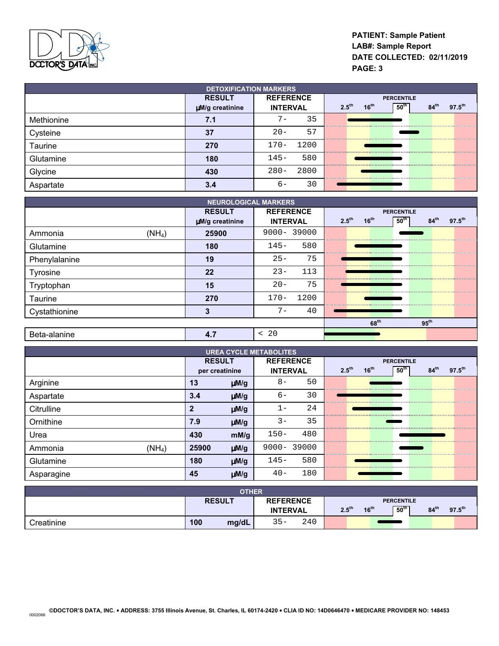

# **PATIENT: Sample Patient LAB#: Sample Report DATE COLLECTED: 02/11/2019 PAGE: 3**

| <b>DETOXIFICATION MARKERS</b> |                 |                    |                                                                                       |  |  |  |  |  |
|-------------------------------|-----------------|--------------------|---------------------------------------------------------------------------------------|--|--|--|--|--|
|                               | <b>RESULT</b>   | <b>REFERENCE</b>   | <b>PERCENTILE</b>                                                                     |  |  |  |  |  |
|                               | µM/g creatinine | <b>INTERVAL</b>    | 50 <sup>th</sup><br>16 <sup>th</sup><br>$97.5^{th}$<br>$2.5^{th}$<br>84 <sup>th</sup> |  |  |  |  |  |
| Methionine                    | 7.1             | 35<br>$\prime$ $-$ |                                                                                       |  |  |  |  |  |
| Cysteine                      | 37              | 57<br>$20 -$       |                                                                                       |  |  |  |  |  |
| Taurine                       | 270             | 1200<br>$170 -$    |                                                                                       |  |  |  |  |  |
| Glutamine                     | 180             | 580<br>$145 -$     |                                                                                       |  |  |  |  |  |
| Glycine                       | 430             | 2800<br>$280 -$    |                                                                                       |  |  |  |  |  |
| Aspartate                     | 3.4             | 30<br>- 6          |                                                                                       |  |  |  |  |  |

| <b>NEUROLOGICAL MARKERS</b> |                 |                  |                                                                                       |  |  |  |  |
|-----------------------------|-----------------|------------------|---------------------------------------------------------------------------------------|--|--|--|--|
|                             | <b>RESULT</b>   | <b>REFERENCE</b> | <b>PERCENTILE</b>                                                                     |  |  |  |  |
|                             | µM/g creatinine | <b>INTERVAL</b>  | 2.5 <sup>th</sup><br>$16^{th}$<br>50 <sup>th</sup><br>$97.5^{th}$<br>84 <sup>th</sup> |  |  |  |  |
| $(NH_4)$<br>Ammonia         | 25900           | 9000-39000       |                                                                                       |  |  |  |  |
| Glutamine                   | 180             | 580<br>$145 -$   |                                                                                       |  |  |  |  |
| Phenylalanine               | 19              | $25 -$<br>75     |                                                                                       |  |  |  |  |
| Tyrosine                    | 22              | 113<br>$23 -$    |                                                                                       |  |  |  |  |
| Tryptophan                  | 15              | 75<br>$20 -$     |                                                                                       |  |  |  |  |
| Taurine                     | 270             | 1200<br>$170 -$  |                                                                                       |  |  |  |  |
| Cystathionine               | 3               | $7 -$<br>40      |                                                                                       |  |  |  |  |
|                             |                 |                  | 68 <sup>th</sup><br>$95^{\text{th}}$                                                  |  |  |  |  |
| Beta-alanine                | 4.7             | < 20             |                                                                                       |  |  |  |  |

| <b>UREA CYCLE METABOLITES</b> |                |           |                  |            |                   |                  |                  |                  |                    |
|-------------------------------|----------------|-----------|------------------|------------|-------------------|------------------|------------------|------------------|--------------------|
|                               | <b>RESULT</b>  |           | <b>REFERENCE</b> |            | <b>PERCENTILE</b> |                  |                  |                  |                    |
|                               | per creatinine |           | <b>INTERVAL</b>  |            | 2.5 <sup>th</sup> | 16 <sup>th</sup> | 50 <sup>th</sup> | 84 <sup>th</sup> | $97.5^{\text{th}}$ |
| Arginine                      | 13             | $\mu$ M/g | $8-$             | 50         |                   |                  |                  |                  |                    |
| Aspartate                     | 3.4            | $\mu$ M/g | $6-$             | 30         |                   |                  |                  |                  |                    |
| Citrulline                    | 2              | $\mu$ M/g | $1 -$            | 24         |                   |                  |                  |                  |                    |
| Ornithine                     | 7.9            | $\mu$ M/g | $3 -$            | 35         |                   |                  |                  |                  |                    |
| Urea                          | 430            | mM/g      | $150 -$          | 480        |                   |                  |                  |                  |                    |
| $(NH_4)$<br>Ammonia           | 25900          | $\mu$ M/g |                  | 9000-39000 |                   |                  |                  |                  |                    |
| Glutamine                     | 180            | $\mu$ M/g | $145 -$          | 580        |                   |                  |                  |                  |                    |
| Asparagine                    | 45             | $\mu$ M/g | $40 -$           | 180        |                   |                  |                  |                  |                    |

| <b>OTHER</b> |     |               |                  |     |                   |                  |                   |                  |             |
|--------------|-----|---------------|------------------|-----|-------------------|------------------|-------------------|------------------|-------------|
|              |     | <b>RESULT</b> | <b>REFERENCE</b> |     |                   |                  | <b>PERCENTILE</b> |                  |             |
|              |     |               | <b>INTERVAL</b>  |     | $2.5^{\text{th}}$ | 16 <sup>th</sup> | $\sqrt{50^{th}}$  | 84 <sup>th</sup> | $97.5^{th}$ |
| Creatinine   | 100 | mg/dL         | $35 -$           | 240 |                   |                  |                   |                  |             |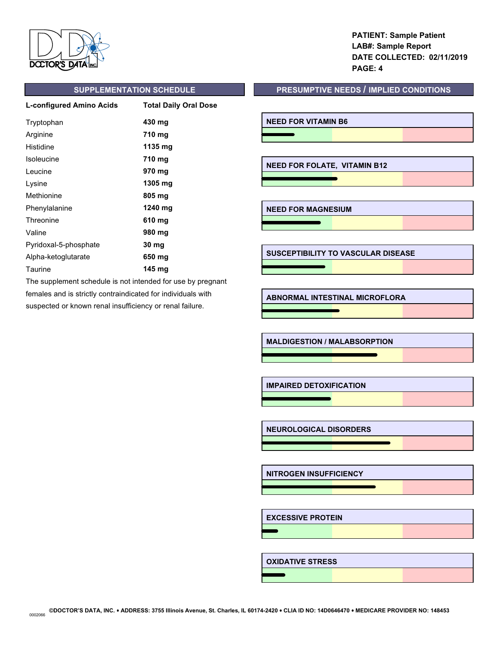

**PATIENT: Sample Patient LAB#: Sample Report DATE COLLECTED: 02/11/2019 PAGE: 4**

| L-configured Amino Acids | <b>Total Daily Oral Dose</b> |
|--------------------------|------------------------------|
| Tryptophan               | 430 mg                       |
| Arginine                 | 710 mg                       |
| Histidine                | 1135 mg                      |
| Isoleucine               | 710 mg                       |
| Leucine                  | 970 mg                       |
| Lysine                   | 1305 mg                      |
| Methionine               | 805 mg                       |
| Phenylalanine            | 1240 mg                      |
| Threonine                | 610 mg                       |
| Valine                   | 980 mg                       |
| Pyridoxal-5-phosphate    | 30 mg                        |
| Alpha-ketoglutarate      | 650 mg                       |
| Taurine                  | 145 ma                       |

The supplement schedule is not intended for use by pregnant females and is strictly contraindicated for individuals with suspected or known renal insufficiency or renal failure.

# **SUPPLEMENTATION SCHEDULE PRESUMPTIVE NEEDS / IMPLIED CONDITIONS**

**NEED FOR VITAMIN B6**

**NEED FOR FOLATE, VITAMIN B12**

**NEED FOR MAGNESIUM**

 $\overline{\phantom{a}}$ 

**SUSCEPTIBILITY TO VASCULAR DISEASE**

**ABNORMAL INTESTINAL MICROFLORA**

**MALDIGESTION / MALABSORPTION**

 $\overline{\phantom{0}}$ 

**IMPAIRED DETOXIFICATION**

**NEUROLOGICAL DISORDERS**

**NITROGEN INSUFFICIENCY**

**EXCESSIVE PROTEIN**

**OXIDATIVE STRESS**

**©DOCTOR'S DATA, INC.** ! **ADDRESS: 3755 Illinois Avenue, St. Charles, IL 60174-2420** ! **CLIA ID NO: 14D0646470** ! **MEDICARE PROVIDER NO: 148453** 0002066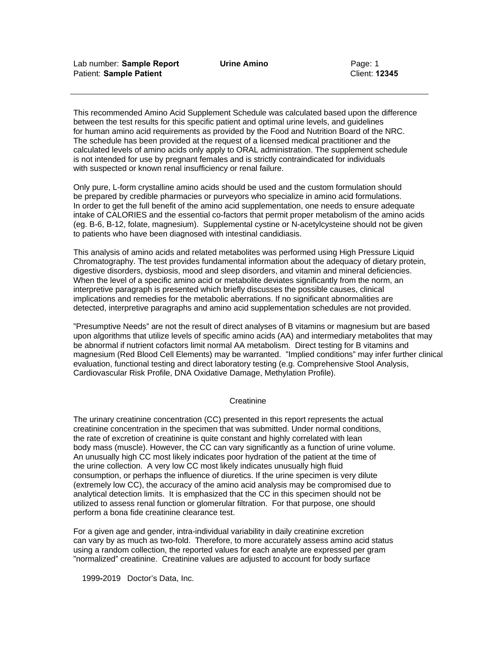This recommended Amino Acid Supplement Schedule was calculated based upon the difference between the test results for this specific patient and optimal urine levels, and guidelines for human amino acid requirements as provided by the Food and Nutrition Board of the NRC. The schedule has been provided at the request of a licensed medical practitioner and the calculated levels of amino acids only apply to ORAL administration. The supplement schedule is not intended for use by pregnant females and is strictly contraindicated for individuals with suspected or known renal insufficiency or renal failure.

Only pure, L-form crystalline amino acids should be used and the custom formulation should be prepared by credible pharmacies or purveyors who specialize in amino acid formulations. In order to get the full benefit of the amino acid supplementation, one needs to ensure adequate intake of CALORIES and the essential co-factors that permit proper metabolism of the amino acids (eg. B-6, B-12, folate, magnesium). Supplemental cystine or N-acetylcysteine should not be given to patients who have been diagnosed with intestinal candidiasis.

This analysis of amino acids and related metabolites was performed using High Pressure Liquid Chromatography. The test provides fundamental information about the adequacy of dietary protein, digestive disorders, dysbiosis, mood and sleep disorders, and vitamin and mineral deficiencies. When the level of a specific amino acid or metabolite deviates significantly from the norm, an interpretive paragraph is presented which briefly discusses the possible causes, clinical implications and remedies for the metabolic aberrations. If no significant abnormalities are detected, interpretive paragraphs and amino acid supplementation schedules are not provided.

"Presumptive Needs" are not the result of direct analyses of B vitamins or magnesium but are based upon algorithms that utilize levels of specific amino acids (AA) and intermediary metabolites that may be abnormal if nutrient cofactors limit normal AA metabolism. Direct testing for B vitamins and magnesium (Red Blood Cell Elements) may be warranted. "Implied conditions" may infer further clinical evaluation, functional testing and direct laboratory testing (e.g. Comprehensive Stool Analysis, Cardiovascular Risk Profile, DNA Oxidative Damage, Methylation Profile).

#### **Creatinine**

The urinary creatinine concentration (CC) presented in this report represents the actual creatinine concentration in the specimen that was submitted. Under normal conditions, the rate of excretion of creatinine is quite constant and highly correlated with lean body mass (muscle). However, the CC can vary significantly as a function of urine volume. An unusually high CC most likely indicates poor hydration of the patient at the time of the urine collection. A very low CC most likely indicates unusually high fluid consumption, or perhaps the influence of diuretics. If the urine specimen is very dilute (extremely low CC), the accuracy of the amino acid analysis may be compromised due to analytical detection limits. It is emphasized that the CC in this specimen should not be utilized to assess renal function or glomerular filtration. For that purpose, one should perform a bona fide creatinine clearance test.

For a given age and gender, intra-individual variability in daily creatinine excretion can vary by as much as two-fold. Therefore, to more accurately assess amino acid status using a random collection, the reported values for each analyte are expressed per gram "normalized" creatinine. Creatinine values are adjusted to account for body surface

1999**-**2019 Doctor's Data, Inc.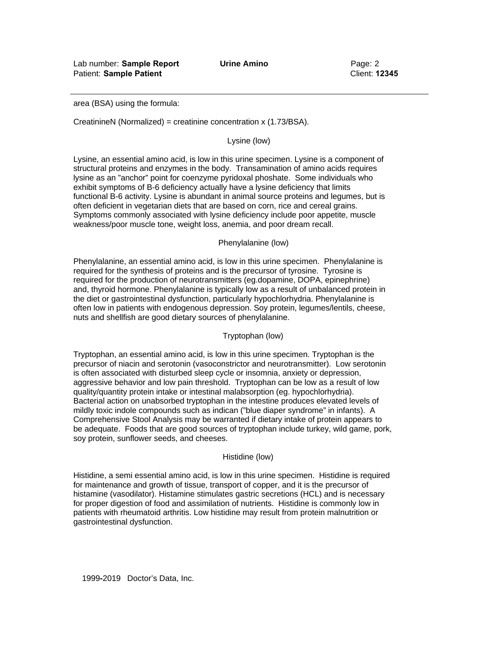Lab number: **Sample Report Urine Amino** Page: 2 Patient: **Sample Patient** Client: **12345** 

area (BSA) using the formula:

CreatinineN (Normalized) = creatinine concentration x (1.73/BSA).

Lysine (low)

Lysine, an essential amino acid, is low in this urine specimen. Lysine is a component of structural proteins and enzymes in the body. Transamination of amino acids requires lysine as an "anchor" point for coenzyme pyridoxal phoshate. Some individuals who exhibit symptoms of B-6 deficiency actually have a lysine deficiency that limits functional B-6 activity. Lysine is abundant in animal source proteins and legumes, but is often deficient in vegetarian diets that are based on corn, rice and cereal grains. Symptoms commonly associated with lysine deficiency include poor appetite, muscle weakness/poor muscle tone, weight loss, anemia, and poor dream recall.

#### Phenylalanine (low)

Phenylalanine, an essential amino acid, is low in this urine specimen. Phenylalanine is required for the synthesis of proteins and is the precursor of tyrosine. Tyrosine is required for the production of neurotransmitters (eg.dopamine, DOPA, epinephrine) and, thyroid hormone. Phenylalanine is typically low as a result of unbalanced protein in the diet or gastrointestinal dysfunction, particularly hypochlorhydria. Phenylalanine is often low in patients with endogenous depression. Soy protein, legumes/lentils, cheese, nuts and shellfish are good dietary sources of phenylalanine.

#### Tryptophan (low)

Tryptophan, an essential amino acid, is low in this urine specimen. Tryptophan is the precursor of niacin and serotonin (vasoconstrictor and neurotransmitter). Low serotonin is often associated with disturbed sleep cycle or insomnia, anxiety or depression, aggressive behavior and low pain threshold. Tryptophan can be low as a result of low quality/quantity protein intake or intestinal malabsorption (eg. hypochlorhydria). Bacterial action on unabsorbed tryptophan in the intestine produces elevated levels of mildly toxic indole compounds such as indican ("blue diaper syndrome" in infants). A Comprehensive Stool Analysis may be warranted if dietary intake of protein appears to be adequate. Foods that are good sources of tryptophan include turkey, wild game, pork, soy protein, sunflower seeds, and cheeses.

#### Histidine (low)

Histidine, a semi essential amino acid, is low in this urine specimen. Histidine is required for maintenance and growth of tissue, transport of copper, and it is the precursor of histamine (vasodilator). Histamine stimulates gastric secretions (HCL) and is necessary for proper digestion of food and assimilation of nutrients. Histidine is commonly low in patients with rheumatoid arthritis. Low histidine may result from protein malnutrition or gastrointestinal dysfunction.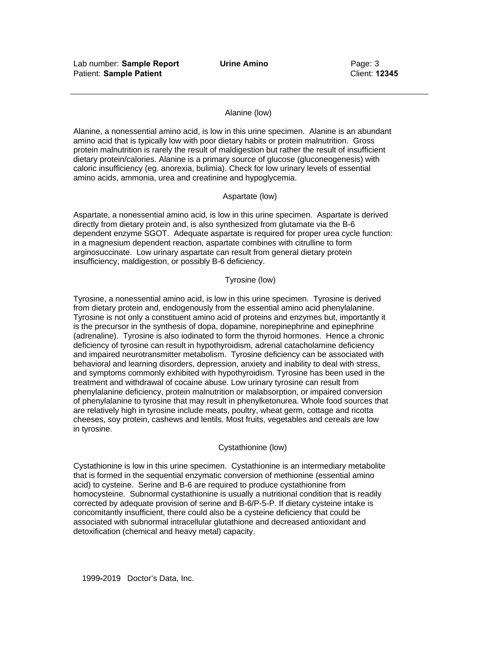#### Alanine (low)

Alanine, a nonessential amino acid, is low in this urine specimen. Alanine is an abundant amino acid that is typically low with poor dietary habits or protein malnutrition. Gross protein malnutrition is rarely the result of maldigestion but rather the result of insufficient dietary protein/calories. Alanine is a primary source of glucose (gluconeogenesis) with caloric insufficiency (eg. anorexia, bulimia). Check for low urinary levels of essential amino acids, ammonia, urea and creatinine and hypoglycemia.

#### Aspartate (low)

Aspartate, a nonessential amino acid, is low in this urine specimen. Aspartate is derived directly from dietary protein and, is also synthesized from glutamate via the B-6 dependent enzyme SGOT. Adequate aspartate is required for proper urea cycle function: in a magnesium dependent reaction, aspartate combines with citrulline to form arginosuccinate. Low urinary aspartate can result from general dietary protein insufficiency, maldigestion, or possibly B-6 deficiency.

### Tyrosine (low)

Tyrosine, a nonessential amino acid, is low in this urine specimen. Tyrosine is derived from dietary protein and, endogenously from the essential amino acid phenylalanine. Tyrosine is not only a constituent amino acid of proteins and enzymes but, importantly it is the precursor in the synthesis of dopa, dopamine, norepinephrine and epinephrine (adrenaline). Tyrosine is also iodinated to form the thyroid hormones. Hence a chronic deficiency of tyrosine can result in hypothyroidism, adrenal catacholamine deficiency and impaired neurotransmitter metabolism. Tyrosine deficiency can be associated with behavioral and learning disorders, depression, anxiety and inability to deal with stress, and symptoms commonly exhibited with hypothyroidism. Tyrosine has been used in the treatment and withdrawal of cocaine abuse. Low urinary tyrosine can result from phenylalanine deficiency, protein malnutrition or malabsorption, or impaired conversion of phenylalanine to tyrosine that may result in phenylketonurea. Whole food sources that are relatively high in tyrosine include meats, poultry, wheat germ, cottage and ricotta cheeses, soy protein, cashews and lentils. Most fruits, vegetables and cereals are low in tyrosine.

#### Cystathionine (low)

Cystathionine is low in this urine specimen. Cystathionine is an intermediary metabolite that is formed in the sequential enzymatic conversion of methionine (essential amino acid) to cysteine. Serine and B-6 are required to produce cystathionine from homocysteine. Subnormal cystathionine is usually a nutritional condition that is readily corrected by adequate provision of serine and B-6/P-5-P. If dietary cysteine intake is concomitantly insufficient, there could also be a cysteine deficiency that could be associated with subnormal intracellular glutathione and decreased antioxidant and detoxification (chemical and heavy metal) capacity.